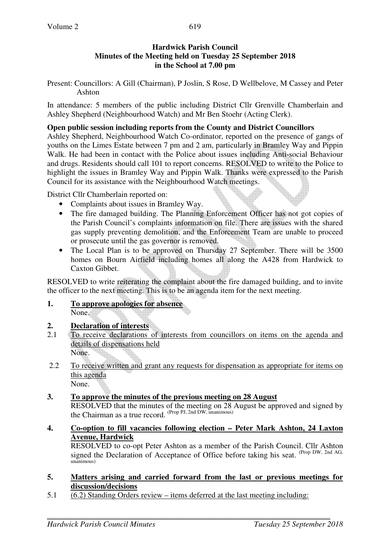### **Hardwick Parish Council Minutes of the Meeting held on Tuesday 25 September 2018 in the School at 7.00 pm**

Present: Councillors: A Gill (Chairman), P Joslin, S Rose, D Wellbelove, M Cassey and Peter Ashton

In attendance: 5 members of the public including District Cllr Grenville Chamberlain and Ashley Shepherd (Neighbourhood Watch) and Mr Ben Stoehr (Acting Clerk).

## **Open public session including reports from the County and District Councillors**

Ashley Shepherd, Neighbourhood Watch Co-ordinator, reported on the presence of gangs of youths on the Limes Estate between 7 pm and 2 am, particularly in Bramley Way and Pippin Walk. He had been in contact with the Police about issues including Anti-social Behaviour and drugs. Residents should call 101 to report concerns. RESOLVED to write to the Police to highlight the issues in Bramley Way and Pippin Walk. Thanks were expressed to the Parish Council for its assistance with the Neighbourhood Watch meetings.

District Cllr Chamberlain reported on:

- Complaints about issues in Bramley Way.
- The fire damaged building. The Planning Enforcement Officer has not got copies of the Parish Council's complaints information on file. There are issues with the shared gas supply preventing demolition, and the Enforcement Team are unable to proceed or prosecute until the gas governor is removed.
- The Local Plan is to be approved on Thursday 27 September. There will be 3500 homes on Bourn Airfield including homes all along the A428 from Hardwick to Caxton Gibbet.

RESOLVED to write reiterating the complaint about the fire damaged building, and to invite the officer to the next meeting. This is to be an agenda item for the next meeting.

**1. To approve apologies for absence** None.

# **2. Declaration of interests**

- 2.1 To receive declarations of interests from councillors on items on the agenda and details of dispensations held None.
- 2.2 To receive written and grant any requests for dispensation as appropriate for items on this agenda None.

**3. To approve the minutes of the previous meeting on 28 August** 

RESOLVED that the minutes of the meeting on 28 August be approved and signed by the Chairman as a true record. (Prop PJ, 2nd DW, unanimous)

**4. Co-option to fill vacancies following election – Peter Mark Ashton, 24 Laxton Avenue, Hardwick**

 RESOLVED to co-opt Peter Ashton as a member of the Parish Council. Cllr Ashton signed the Declaration of Acceptance of Office before taking his seat. (Prop DW, 2nd AG,  $unamimous$ )

### **5. Matters arising and carried forward from the last or previous meetings for discussion/decisions**

5.1 (6.2) Standing Orders review – items deferred at the last meeting including: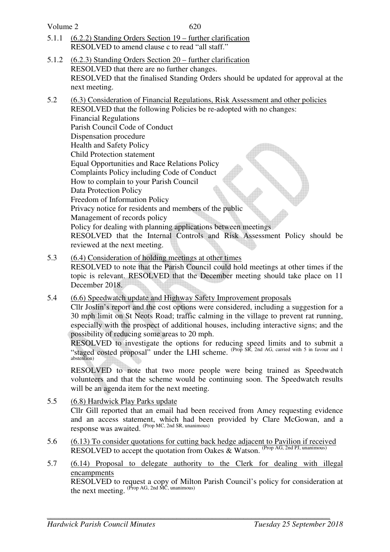| Volume 2 | 620                                                                                                                                                                                                                                                                                                                                                                                                                                                                                                                                                                                                                                                                                                                                                                                                       |  |  |
|----------|-----------------------------------------------------------------------------------------------------------------------------------------------------------------------------------------------------------------------------------------------------------------------------------------------------------------------------------------------------------------------------------------------------------------------------------------------------------------------------------------------------------------------------------------------------------------------------------------------------------------------------------------------------------------------------------------------------------------------------------------------------------------------------------------------------------|--|--|
| 5.1.1    | <u>(6.2.2) Standing Orders Section 19 – further clarification</u><br>RESOLVED to amend clause c to read "all staff."                                                                                                                                                                                                                                                                                                                                                                                                                                                                                                                                                                                                                                                                                      |  |  |
| 5.1.2    | $(6.2.3)$ Standing Orders Section 20 – further clarification<br>RESOLVED that there are no further changes.<br>RESOLVED that the finalised Standing Orders should be updated for approval at the<br>next meeting.                                                                                                                                                                                                                                                                                                                                                                                                                                                                                                                                                                                         |  |  |
| 5.2      | (6.3) Consideration of Financial Regulations, Risk Assessment and other policies<br>RESOLVED that the following Policies be re-adopted with no changes:<br><b>Financial Regulations</b><br>Parish Council Code of Conduct<br>Dispensation procedure<br>Health and Safety Policy<br><b>Child Protection statement</b><br><b>Equal Opportunities and Race Relations Policy</b><br>Complaints Policy including Code of Conduct<br>How to complain to your Parish Council<br>Data Protection Policy<br>Freedom of Information Policy<br>Privacy notice for residents and members of the public<br>Management of records policy<br>Policy for dealing with planning applications between meetings<br>RESOLVED that the Internal Controls and Risk Assessment Policy should be<br>reviewed at the next meeting. |  |  |
| 5.3      | (6.4) Consideration of holding meetings at other times<br>RESOLVED to note that the Parish Council could hold meetings at other times if the<br>topic is relevant. RESOLVED that the December meeting should take place on 11                                                                                                                                                                                                                                                                                                                                                                                                                                                                                                                                                                             |  |  |

December 2018. 5.4 (6.6) Speedwatch update and Highway Safety Improvement proposals Cllr Joslin's report and the cost options were considered, including a suggestion for a 30 mph limit on St Neots Road; traffic calming in the village to prevent rat running,

especially with the prospect of additional houses, including interactive signs; and the possibility of reducing some areas to 20 mph.

 RESOLVED to investigate the options for reducing speed limits and to submit a "staged costed proposal" under the LHI scheme. <sup>(Prop SR, 2nd AG, carried with 5 in favour and 1)</sup> abstention)

RESOLVED to note that two more people were being trained as Speedwatch volunteers and that the scheme would be continuing soon. The Speedwatch results will be an agenda item for the next meeting.

- 5.5 (6.8) Hardwick Play Parks update Cllr Gill reported that an email had been received from Amey requesting evidence and an access statement, which had been provided by Clare McGowan, and a response was awaited. (Prop MC, 2nd SR, unanimous)
- 5.6 (6.13) To consider quotations for cutting back hedge adjacent to Pavilion if received RESOLVED to accept the quotation from Oakes  $\&$  Watson. (Prop AG, 2nd PJ, unanimous)
- 5.7 (6.14) Proposal to delegate authority to the Clerk for dealing with illegal encampments

 RESOLVED to request a copy of Milton Parish Council's policy for consideration at the next meeting. (Prop AG, 2nd MC, unanimous)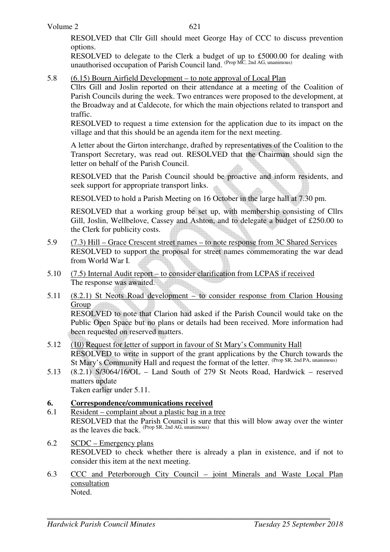RESOLVED that Cllr Gill should meet George Hay of CCC to discuss prevention options.

RESOLVED to delegate to the Clerk a budget of up to £5000.00 for dealing with unauthorised occupation of Parish Council land. (Prop MC, 2nd AG, unanimous)

#### 5.8 (6.15) Bourn Airfield Development – to note approval of Local Plan

Cllrs Gill and Joslin reported on their attendance at a meeting of the Coalition of Parish Councils during the week. Two entrances were proposed to the development, at the Broadway and at Caldecote, for which the main objections related to transport and traffic.

RESOLVED to request a time extension for the application due to its impact on the village and that this should be an agenda item for the next meeting.

A letter about the Girton interchange, drafted by representatives of the Coalition to the Transport Secretary, was read out. RESOLVED that the Chairman should sign the letter on behalf of the Parish Council.

RESOLVED that the Parish Council should be proactive and inform residents, and seek support for appropriate transport links.

RESOLVED to hold a Parish Meeting on 16 October in the large hall at 7.30 pm.

RESOLVED that a working group be set up, with membership consisting of Cllrs Gill, Joslin, Wellbelove, Cassey and Ashton, and to delegate a budget of £250.00 to the Clerk for publicity costs.

- 5.9 (7.3) Hill Grace Crescent street names to note response from 3C Shared Services RESOLVED to support the proposal for street names commemorating the war dead from World War I.
- 5.10 (7.5) Internal Audit report to consider clarification from LCPAS if received The response was awaited.
- 5.11 (8.2.1) St Neots Road development to consider response from Clarion Housing Group RESOLVED to note that Clarion had asked if the Parish Council would take on the Public Open Space but no plans or details had been received. More information had been requested on reserved matters.
- 5.12 (10) Request for letter of support in favour of St Mary's Community Hall RESOLVED to write in support of the grant applications by the Church towards the St Mary's Community Hall and request the format of the letter. (Prop SR, 2nd PA, unanimous)
- 5.13 (8.2.1) S/3064/16/OL Land South of 279 St Neots Road, Hardwick reserved matters update

Taken earlier under 5.11.

### **6. Correspondence/communications received**

- 6.1 Resident complaint about a plastic bag in a tree RESOLVED that the Parish Council is sure that this will blow away over the winter as the leaves die back. <sup>(Prop SR, 2nd AG, unanimous)</sup>
- 6.2 SCDC Emergency plans RESOLVED to check whether there is already a plan in existence, and if not to consider this item at the next meeting.
- 6.3 CCC and Peterborough City Council joint Minerals and Waste Local Plan consultation Noted.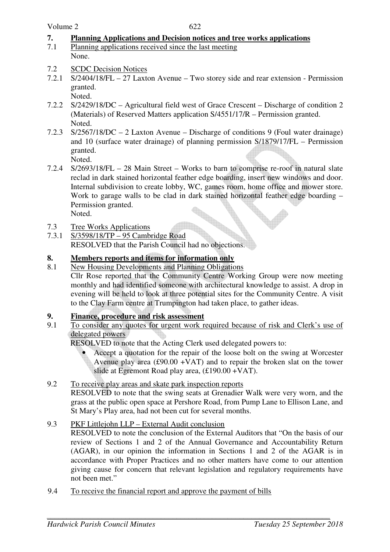### **7. Planning Applications and Decision notices and tree works applications**

- 7.1 Planning applications received since the last meeting None.
- 7.2 SCDC Decision Notices
- 7.2.1 S/2404/18/FL 27 Laxton Avenue Two storey side and rear extension Permission granted.

Noted.

- 7.2.2 S/2429/18/DC Agricultural field west of Grace Crescent Discharge of condition 2 (Materials) of Reserved Matters application S/4551/17/R – Permission granted. Noted.
- 7.2.3 S/2567/18/DC 2 Laxton Avenue Discharge of conditions 9 (Foul water drainage) and 10 (surface water drainage) of planning permission S/1879/17/FL – Permission granted.

Noted.

- 7.2.4 S/2693/18/FL 28 Main Street Works to barn to comprise re-roof in natural slate reclad in dark stained horizontal feather edge boarding, insert new windows and door. Internal subdivision to create lobby, WC, games room, home office and mower store. Work to garage walls to be clad in dark stained horizontal feather edge boarding – Permission granted.
	- Noted.
- 7.3 Tree Works Applications
- 7.3.1 S/3598/18/TP 95 Cambridge Road RESOLVED that the Parish Council had no objections.

### **8. Members reports and items for information only**

8.1 New Housing Developments and Planning Obligations Cllr Rose reported that the Community Centre Working Group were now meeting monthly and had identified someone with architectural knowledge to assist. A drop in evening will be held to look at three potential sites for the Community Centre. A visit to the Clay Farm centre at Trumpington had taken place, to gather ideas.

### **9. Finance, procedure and risk assessment**

9.1 To consider any quotes for urgent work required because of risk and Clerk's use of delegated powers

RESOLVED to note that the Acting Clerk used delegated powers to:

- Accept a quotation for the repair of the loose bolt on the swing at Worcester Avenue play area  $(\text{\pounds}90.00 + \text{VAT})$  and to repair the broken slat on the tower slide at Egremont Road play area, (£190.00 +VAT).
- 9.2 To receive play areas and skate park inspection reports RESOLVED to note that the swing seats at Grenadier Walk were very worn, and the grass at the public open space at Pershore Road, from Pump Lane to Ellison Lane, and St Mary's Play area, had not been cut for several months.

### 9.3 PKF Littlejohn LLP – External Audit conclusion

RESOLVED to note the conclusion of the External Auditors that "On the basis of our review of Sections 1 and 2 of the Annual Governance and Accountability Return (AGAR), in our opinion the information in Sections 1 and 2 of the AGAR is in accordance with Proper Practices and no other matters have come to our attention giving cause for concern that relevant legislation and regulatory requirements have not been met."

9.4 To receive the financial report and approve the payment of bills